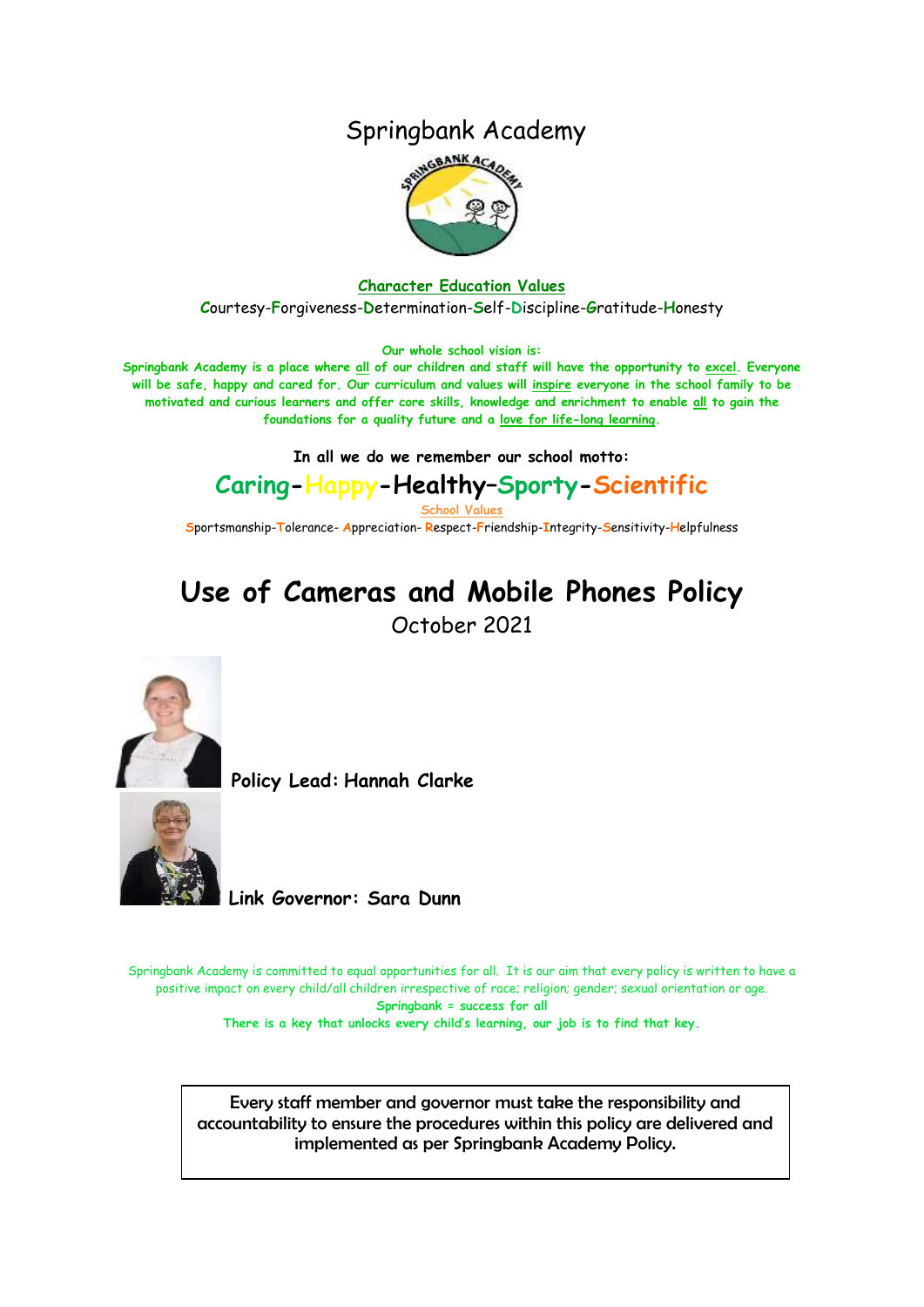### Springbank Academy



#### **Character Education Values**

**C**ourtesy-**F**orgiveness-**D**etermination-**S**elf-**D**iscipline-**G**ratitude-**H**onesty

**Our whole school vision is:**

**Springbank Academy is a place where all of our children and staff will have the opportunity to excel. Everyone will be safe, happy and cared for. Our curriculum and values will inspire everyone in the school family to be motivated and curious learners and offer core skills, knowledge and enrichment to enable all to gain the foundations for a quality future and a love for life-long learning.**

**In all we do we remember our school motto:**

## **Caring-Happy-Healthy–Sporty-Scientific**

**School Values**

**S**portsmanship-**T**olerance- **A**ppreciation- **R**espect-**F**riendship-**I**ntegrity-**S**ensitivity-**H**elpfulness

# **Use of Cameras and Mobile Phones Policy**

October 2021



**Policy Lead: Hannah Clarke** 



**Link Governor: Sara Dunn**

Springbank Academy is committed to equal opportunities for all. It is our aim that every policy is written to have a positive impact on every child/all children irrespective of race; religion; gender; sexual orientation or age. **Springbank = success for all**

**There is a key that unlocks every child's learning, our job is to find that key.**

**Springbank Primary School** implemented as per Springbank Academy Policy.Every staff member and governor must take the responsibility and accountability to ensure the procedures within this policy are delivered and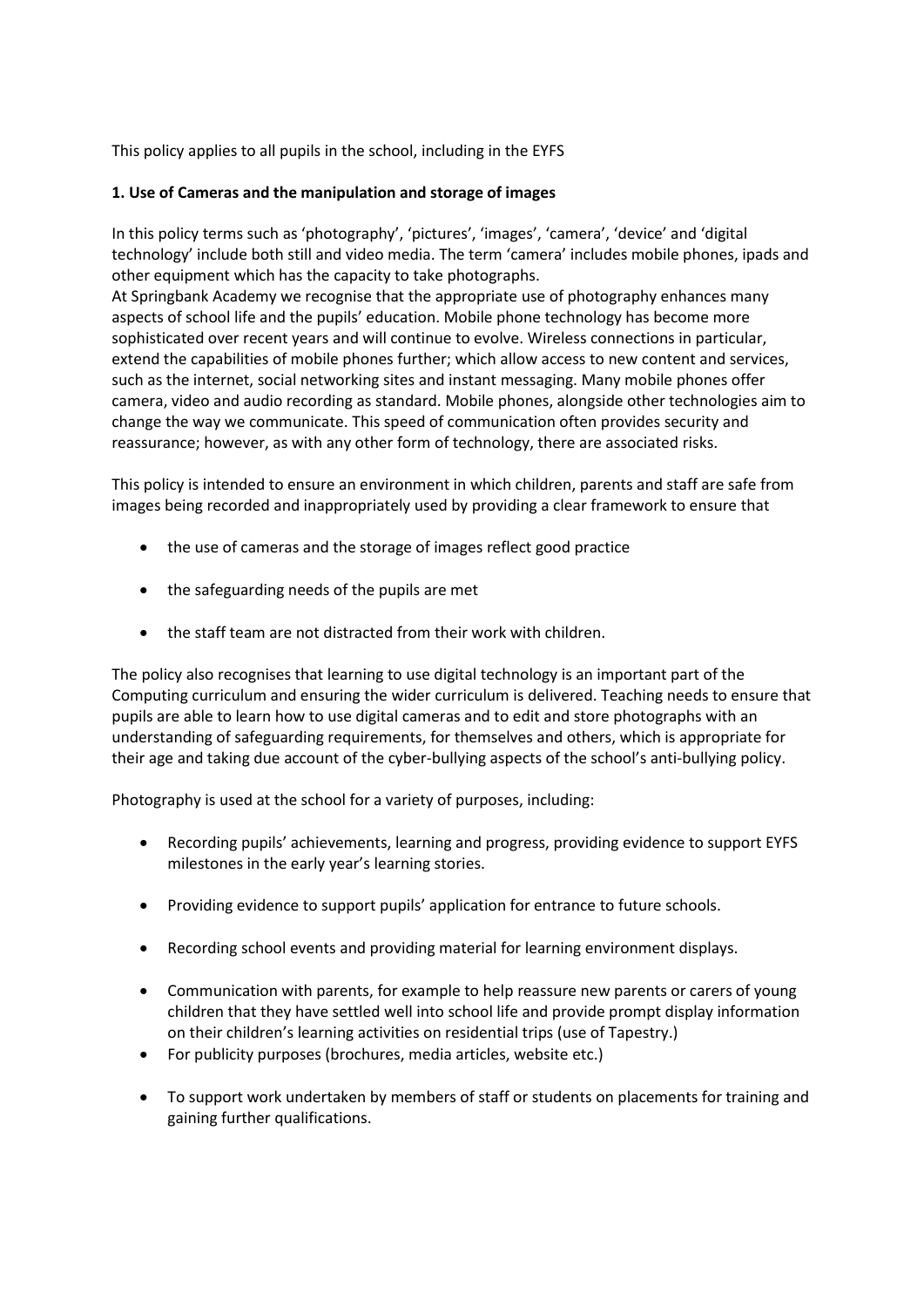This policy applies to all pupils in the school, including in the EYFS

#### **1. Use of Cameras and the manipulation and storage of images**

In this policy terms such as 'photography', 'pictures', 'images', 'camera', 'device' and 'digital technology' include both still and video media. The term 'camera' includes mobile phones, ipads and other equipment which has the capacity to take photographs.

At Springbank Academy we recognise that the appropriate use of photography enhances many aspects of school life and the pupils' education. Mobile phone technology has become more sophisticated over recent years and will continue to evolve. Wireless connections in particular, extend the capabilities of mobile phones further; which allow access to new content and services, such as the internet, social networking sites and instant messaging. Many mobile phones offer camera, video and audio recording as standard. Mobile phones, alongside other technologies aim to change the way we communicate. This speed of communication often provides security and reassurance; however, as with any other form of technology, there are associated risks.

This policy is intended to ensure an environment in which children, parents and staff are safe from images being recorded and inappropriately used by providing a clear framework to ensure that

- the use of cameras and the storage of images reflect good practice
- the safeguarding needs of the pupils are met
- the staff team are not distracted from their work with children.

The policy also recognises that learning to use digital technology is an important part of the Computing curriculum and ensuring the wider curriculum is delivered. Teaching needs to ensure that pupils are able to learn how to use digital cameras and to edit and store photographs with an understanding of safeguarding requirements, for themselves and others, which is appropriate for their age and taking due account of the cyber-bullying aspects of the school's anti-bullying policy.

Photography is used at the school for a variety of purposes, including:

- Recording pupils' achievements, learning and progress, providing evidence to support EYFS milestones in the early year's learning stories.
- Providing evidence to support pupils' application for entrance to future schools.
- Recording school events and providing material for learning environment displays.
- Communication with parents, for example to help reassure new parents or carers of young children that they have settled well into school life and provide prompt display information on their children's learning activities on residential trips (use of Tapestry.)
- For publicity purposes (brochures, media articles, website etc.)
- To support work undertaken by members of staff or students on placements for training and gaining further qualifications.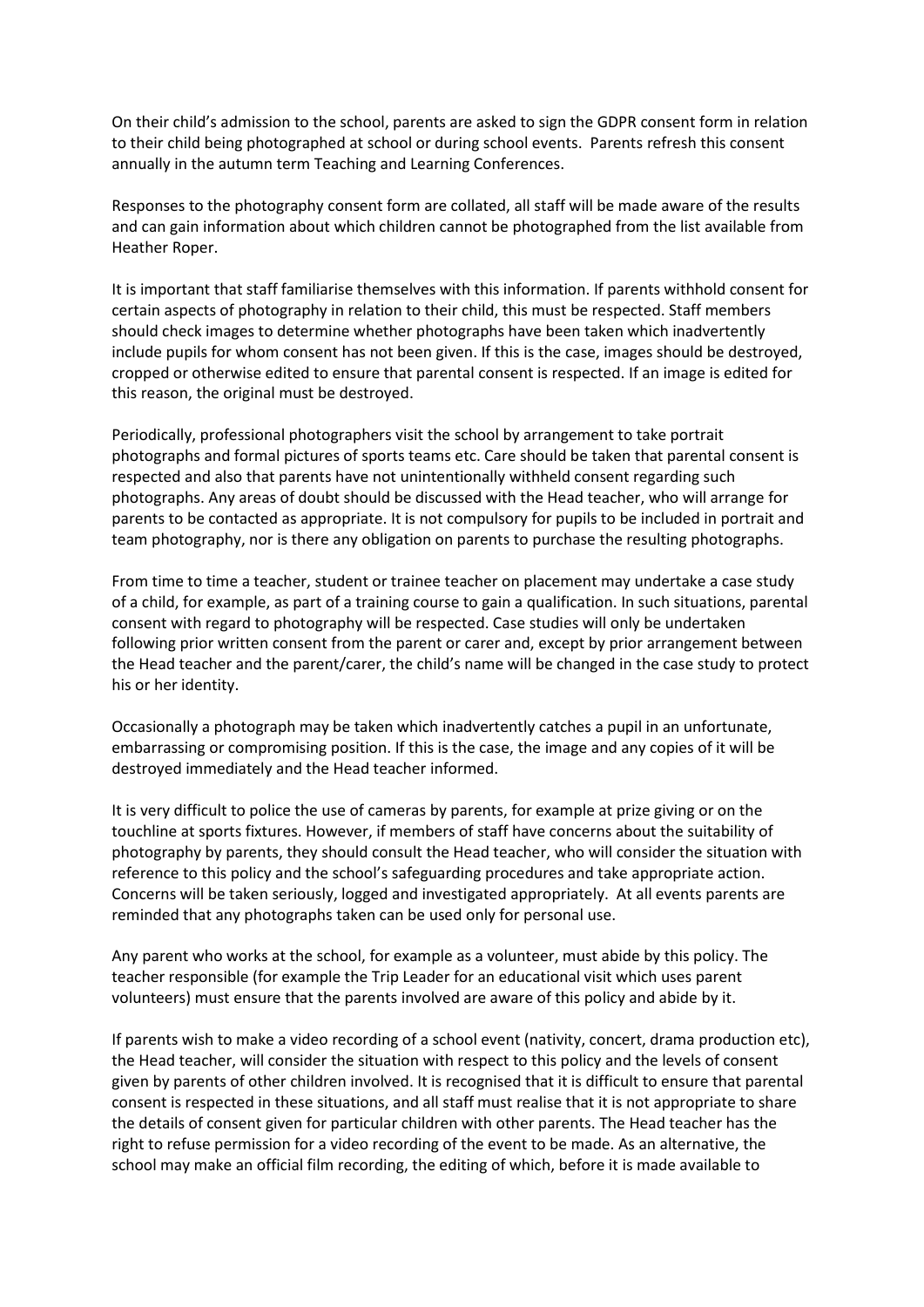On their child's admission to the school, parents are asked to sign the GDPR consent form in relation to their child being photographed at school or during school events. Parents refresh this consent annually in the autumn term Teaching and Learning Conferences.

Responses to the photography consent form are collated, all staff will be made aware of the results and can gain information about which children cannot be photographed from the list available from Heather Roper.

It is important that staff familiarise themselves with this information. If parents withhold consent for certain aspects of photography in relation to their child, this must be respected. Staff members should check images to determine whether photographs have been taken which inadvertently include pupils for whom consent has not been given. If this is the case, images should be destroyed, cropped or otherwise edited to ensure that parental consent is respected. If an image is edited for this reason, the original must be destroyed.

Periodically, professional photographers visit the school by arrangement to take portrait photographs and formal pictures of sports teams etc. Care should be taken that parental consent is respected and also that parents have not unintentionally withheld consent regarding such photographs. Any areas of doubt should be discussed with the Head teacher, who will arrange for parents to be contacted as appropriate. It is not compulsory for pupils to be included in portrait and team photography, nor is there any obligation on parents to purchase the resulting photographs.

From time to time a teacher, student or trainee teacher on placement may undertake a case study of a child, for example, as part of a training course to gain a qualification. In such situations, parental consent with regard to photography will be respected. Case studies will only be undertaken following prior written consent from the parent or carer and, except by prior arrangement between the Head teacher and the parent/carer, the child's name will be changed in the case study to protect his or her identity.

Occasionally a photograph may be taken which inadvertently catches a pupil in an unfortunate, embarrassing or compromising position. If this is the case, the image and any copies of it will be destroyed immediately and the Head teacher informed.

It is very difficult to police the use of cameras by parents, for example at prize giving or on the touchline at sports fixtures. However, if members of staff have concerns about the suitability of photography by parents, they should consult the Head teacher, who will consider the situation with reference to this policy and the school's safeguarding procedures and take appropriate action. Concerns will be taken seriously, logged and investigated appropriately. At all events parents are reminded that any photographs taken can be used only for personal use.

Any parent who works at the school, for example as a volunteer, must abide by this policy. The teacher responsible (for example the Trip Leader for an educational visit which uses parent volunteers) must ensure that the parents involved are aware of this policy and abide by it.

If parents wish to make a video recording of a school event (nativity, concert, drama production etc), the Head teacher, will consider the situation with respect to this policy and the levels of consent given by parents of other children involved. It is recognised that it is difficult to ensure that parental consent is respected in these situations, and all staff must realise that it is not appropriate to share the details of consent given for particular children with other parents. The Head teacher has the right to refuse permission for a video recording of the event to be made. As an alternative, the school may make an official film recording, the editing of which, before it is made available to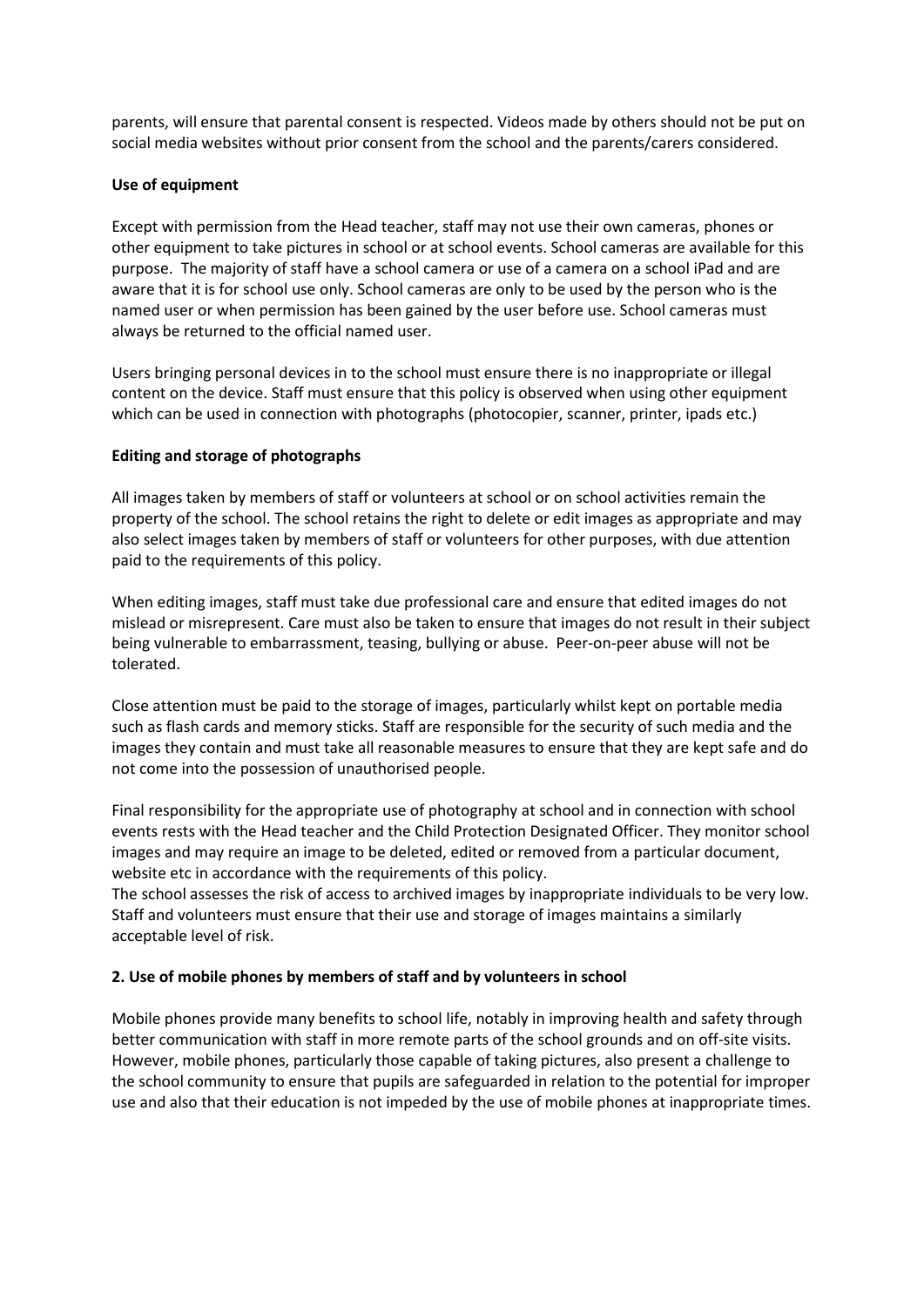parents, will ensure that parental consent is respected. Videos made by others should not be put on social media websites without prior consent from the school and the parents/carers considered.

#### **Use of equipment**

Except with permission from the Head teacher, staff may not use their own cameras, phones or other equipment to take pictures in school or at school events. School cameras are available for this purpose. The majority of staff have a school camera or use of a camera on a school iPad and are aware that it is for school use only. School cameras are only to be used by the person who is the named user or when permission has been gained by the user before use. School cameras must always be returned to the official named user.

Users bringing personal devices in to the school must ensure there is no inappropriate or illegal content on the device. Staff must ensure that this policy is observed when using other equipment which can be used in connection with photographs (photocopier, scanner, printer, ipads etc.)

#### **Editing and storage of photographs**

All images taken by members of staff or volunteers at school or on school activities remain the property of the school. The school retains the right to delete or edit images as appropriate and may also select images taken by members of staff or volunteers for other purposes, with due attention paid to the requirements of this policy.

When editing images, staff must take due professional care and ensure that edited images do not mislead or misrepresent. Care must also be taken to ensure that images do not result in their subject being vulnerable to embarrassment, teasing, bullying or abuse. Peer-on-peer abuse will not be tolerated.

Close attention must be paid to the storage of images, particularly whilst kept on portable media such as flash cards and memory sticks. Staff are responsible for the security of such media and the images they contain and must take all reasonable measures to ensure that they are kept safe and do not come into the possession of unauthorised people.

Final responsibility for the appropriate use of photography at school and in connection with school events rests with the Head teacher and the Child Protection Designated Officer. They monitor school images and may require an image to be deleted, edited or removed from a particular document, website etc in accordance with the requirements of this policy.

The school assesses the risk of access to archived images by inappropriate individuals to be very low. Staff and volunteers must ensure that their use and storage of images maintains a similarly acceptable level of risk.

#### **2. Use of mobile phones by members of staff and by volunteers in school**

Mobile phones provide many benefits to school life, notably in improving health and safety through better communication with staff in more remote parts of the school grounds and on off-site visits. However, mobile phones, particularly those capable of taking pictures, also present a challenge to the school community to ensure that pupils are safeguarded in relation to the potential for improper use and also that their education is not impeded by the use of mobile phones at inappropriate times.